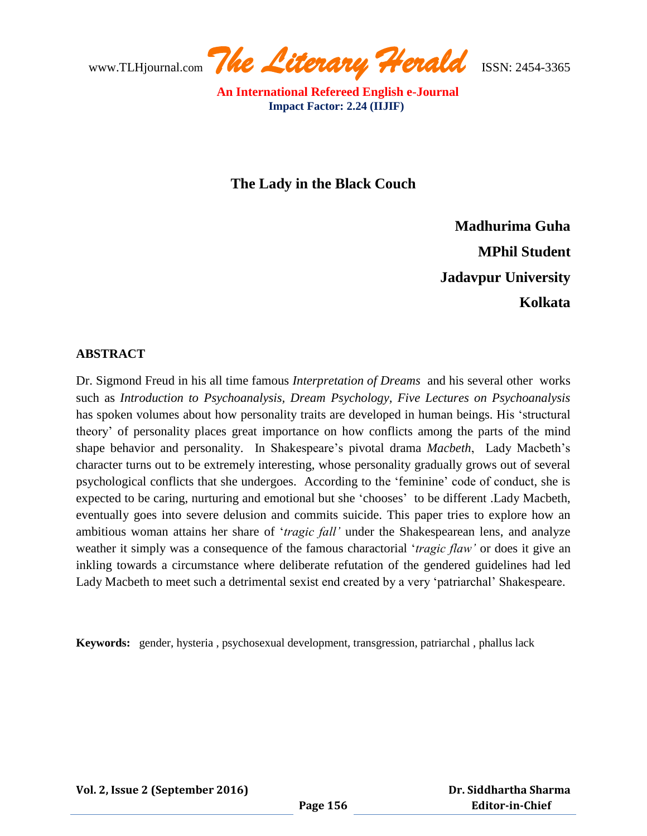www.TLHjournal.com *The Literary Herald*ISSN: 2454-3365

**The Lady in the Black Couch**

**Madhurima Guha MPhil Student Jadavpur University Kolkata**

# **ABSTRACT**

Dr. Sigmond Freud in his all time famous *Interpretation of Dreams* and his several other works such as *Introduction to Psychoanalysis, Dream Psychology, Five Lectures on Psychoanalysis*  has spoken volumes about how personality traits are developed in human beings. His "structural theory" of personality places great importance on how conflicts among the parts of the mind shape behavior and personality. In Shakespeare"s pivotal drama *Macbeth*, Lady Macbeth"s character turns out to be extremely interesting, whose personality gradually grows out of several psychological conflicts that she undergoes. According to the "feminine" code of conduct, she is expected to be caring, nurturing and emotional but she "chooses" to be different .Lady Macbeth, eventually goes into severe delusion and commits suicide. This paper tries to explore how an ambitious woman attains her share of "*tragic fall"* under the Shakespearean lens, and analyze weather it simply was a consequence of the famous charactorial "*tragic flaw"* or does it give an inkling towards a circumstance where deliberate refutation of the gendered guidelines had led Lady Macbeth to meet such a detrimental sexist end created by a very "patriarchal" Shakespeare.

**Keywords:** gender, hysteria , psychosexual development, transgression, patriarchal , phallus lack

**Vol. 2, Issue 2 (September 2016)**

 **Dr. Siddhartha Sharma Editor-in-Chief**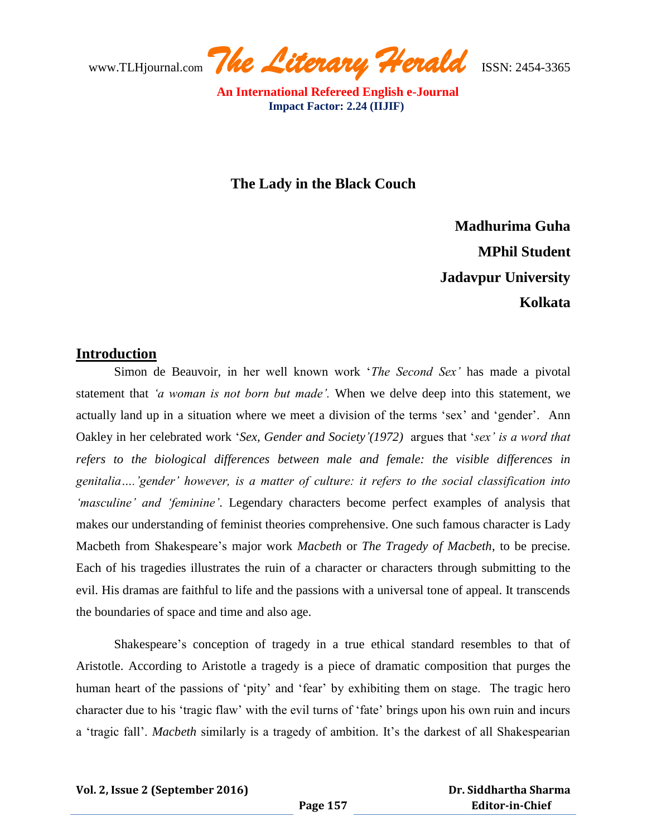www.TLHjournal.com *The Literary Herald*ISSN: 2454-3365

**The Lady in the Black Couch**

**Madhurima Guha MPhil Student Jadavpur University Kolkata**

# **Introduction**

Simon de Beauvoir, in her well known work "*The Second Sex"* has made a pivotal statement that *"a woman is not born but made".* When we delve deep into this statement, we actually land up in a situation where we meet a division of the terms "sex" and "gender". Ann Oakley in her celebrated work "*Sex, Gender and Society"(1972)* argues that "*sex" is a word that refers to the biological differences between male and female: the visible differences in genitalia…."gender" however, is a matter of culture: it refers to the social classification into "masculine" and "feminine"*. Legendary characters become perfect examples of analysis that makes our understanding of feminist theories comprehensive. One such famous character is Lady Macbeth from Shakespeare"s major work *Macbeth* or *The Tragedy of Macbeth*, to be precise. Each of his tragedies illustrates the ruin of a character or characters through submitting to the evil. His dramas are faithful to life and the passions with a universal tone of appeal. It transcends the boundaries of space and time and also age.

Shakespeare's conception of tragedy in a true ethical standard resembles to that of Aristotle. According to Aristotle a tragedy is a piece of dramatic composition that purges the human heart of the passions of 'pity' and 'fear' by exhibiting them on stage. The tragic hero character due to his "tragic flaw" with the evil turns of "fate" brings upon his own ruin and incurs a 'tragic fall'. *Macbeth* similarly is a tragedy of ambition. It's the darkest of all Shakespearian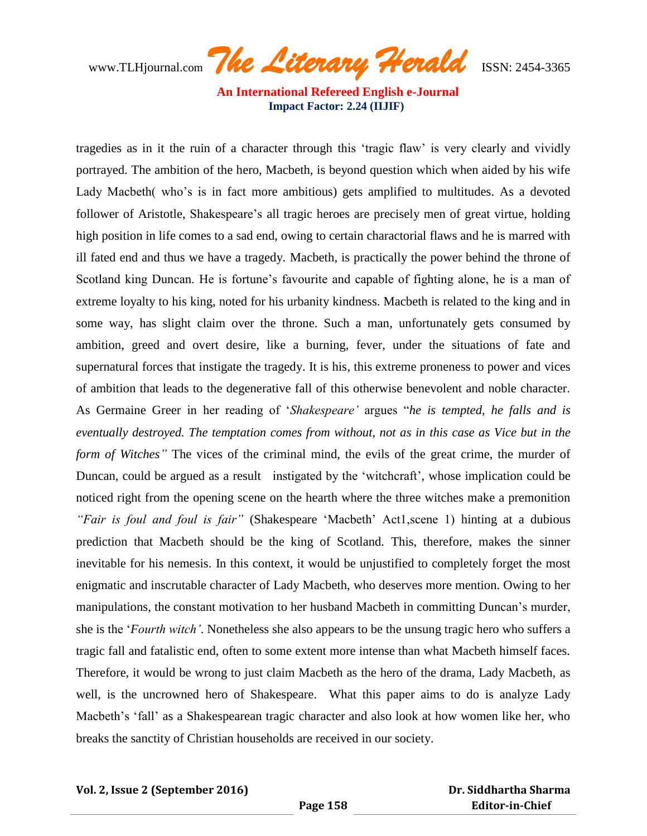www.TLHjournal.com *The Literary Herald*ISSN: 2454-3365

tragedies as in it the ruin of a character through this "tragic flaw" is very clearly and vividly portrayed. The ambition of the hero, Macbeth, is beyond question which when aided by his wife Lady Macbeth (who's is in fact more ambitious) gets amplified to multitudes. As a devoted follower of Aristotle, Shakespeare"s all tragic heroes are precisely men of great virtue, holding high position in life comes to a sad end, owing to certain charactorial flaws and he is marred with ill fated end and thus we have a tragedy. Macbeth, is practically the power behind the throne of Scotland king Duncan. He is fortune's favourite and capable of fighting alone, he is a man of extreme loyalty to his king, noted for his urbanity kindness. Macbeth is related to the king and in some way, has slight claim over the throne. Such a man, unfortunately gets consumed by ambition, greed and overt desire, like a burning, fever, under the situations of fate and supernatural forces that instigate the tragedy. It is his, this extreme proneness to power and vices of ambition that leads to the degenerative fall of this otherwise benevolent and noble character. As Germaine Greer in her reading of "*Shakespeare"* argues "*he is tempted, he falls and is eventually destroyed. The temptation comes from without, not as in this case as Vice but in the form of Witches"* The vices of the criminal mind, the evils of the great crime, the murder of Duncan, could be argued as a result instigated by the 'witchcraft', whose implication could be noticed right from the opening scene on the hearth where the three witches make a premonition *"Fair is foul and foul is fair"* (Shakespeare "Macbeth" Act1,scene 1) hinting at a dubious prediction that Macbeth should be the king of Scotland*.* This, therefore, makes the sinner inevitable for his nemesis. In this context, it would be unjustified to completely forget the most enigmatic and inscrutable character of Lady Macbeth, who deserves more mention. Owing to her manipulations, the constant motivation to her husband Macbeth in committing Duncan"s murder, she is the "*Fourth witch"*. Nonetheless she also appears to be the unsung tragic hero who suffers a tragic fall and fatalistic end, often to some extent more intense than what Macbeth himself faces. Therefore, it would be wrong to just claim Macbeth as the hero of the drama, Lady Macbeth, as well, is the uncrowned hero of Shakespeare. What this paper aims to do is analyze Lady Macbeth's 'fall' as a Shakespearean tragic character and also look at how women like her, who breaks the sanctity of Christian households are received in our society.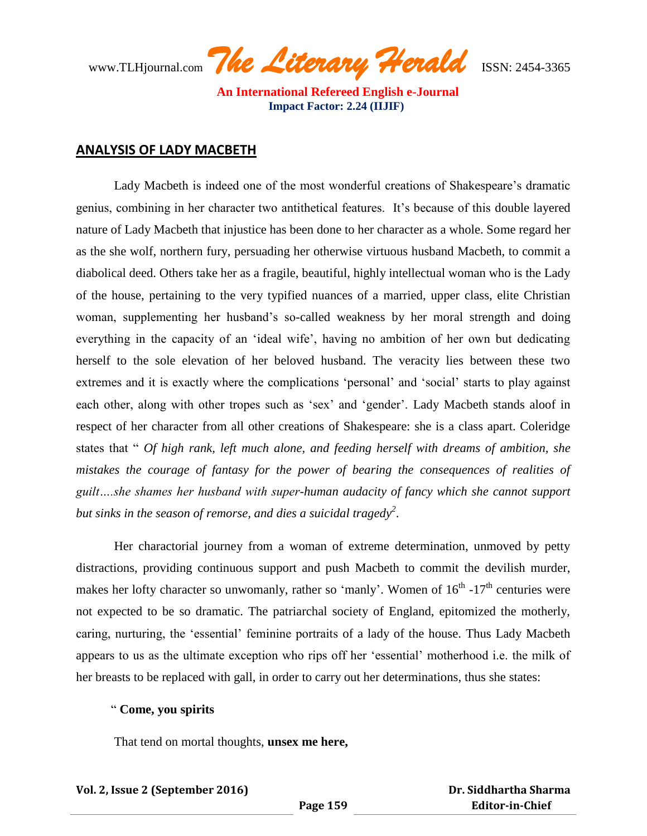www.TLHjournal.com *The Literary Herald*ISSN: 2454-3365

#### **ANALYSIS OF LADY MACBETH**

Lady Macbeth is indeed one of the most wonderful creations of Shakespeare's dramatic genius, combining in her character two antithetical features. It"s because of this double layered nature of Lady Macbeth that injustice has been done to her character as a whole. Some regard her as the she wolf, northern fury, persuading her otherwise virtuous husband Macbeth, to commit a diabolical deed. Others take her as a fragile, beautiful, highly intellectual woman who is the Lady of the house, pertaining to the very typified nuances of a married, upper class, elite Christian woman, supplementing her husband"s so-called weakness by her moral strength and doing everything in the capacity of an 'ideal wife', having no ambition of her own but dedicating herself to the sole elevation of her beloved husband. The veracity lies between these two extremes and it is exactly where the complications 'personal' and 'social' starts to play against each other, along with other tropes such as 'sex' and 'gender'. Lady Macbeth stands aloof in respect of her character from all other creations of Shakespeare: she is a class apart. Coleridge states that " *Of high rank, left much alone, and feeding herself with dreams of ambition, she*  mistakes the courage of fantasy for the power of bearing the consequences of realities of *guilt….she shames her husband with super-human audacity of fancy which she cannot support but sinks in the season of remorse, and dies a suicidal tragedy<sup>2</sup>* .

Her charactorial journey from a woman of extreme determination, unmoved by petty distractions, providing continuous support and push Macbeth to commit the devilish murder, makes her lofty character so unwomanly, rather so 'manly'. Women of  $16<sup>th</sup>$  -17<sup>th</sup> centuries were not expected to be so dramatic. The patriarchal society of England, epitomized the motherly, caring, nurturing, the "essential" feminine portraits of a lady of the house. Thus Lady Macbeth appears to us as the ultimate exception who rips off her "essential" motherhood i.e. the milk of her breasts to be replaced with gall, in order to carry out her determinations, thus she states:

#### " **Come, you spirits**

That tend on mortal thoughts, **unsex me here,**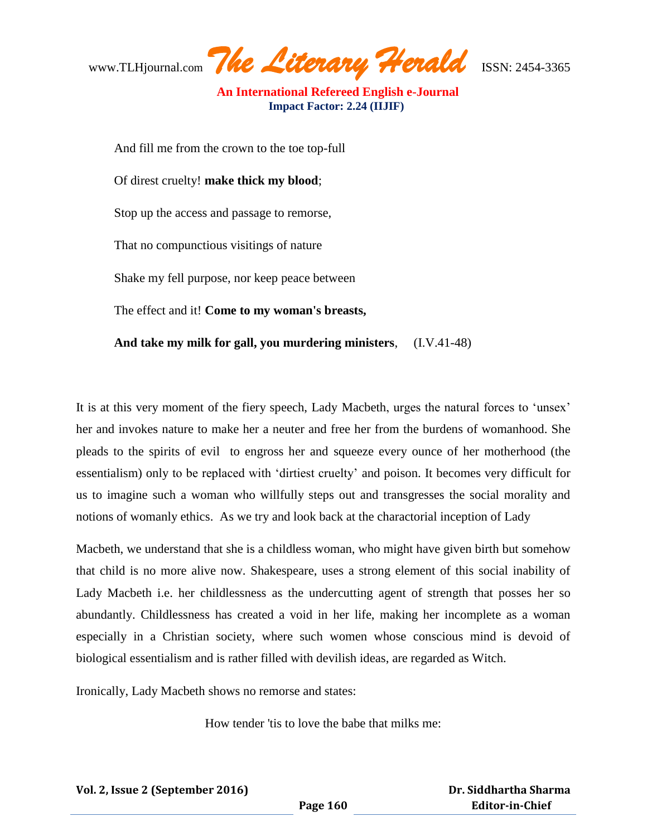www.TLHjournal.com *The Literary Herald*ISSN: 2454-3365

And fill me from the crown to the toe top-full Of direst cruelty! **make thick my blood**; Stop up the access and passage to remorse, That no compunctious visitings of nature Shake my fell purpose, nor keep peace between The effect and it! **Come to my woman's breasts, And take my milk for gall, you murdering ministers**, (I.V.41-48)

It is at this very moment of the fiery speech, Lady Macbeth, urges the natural forces to "unsex" her and invokes nature to make her a neuter and free her from the burdens of womanhood. She pleads to the spirits of evil to engross her and squeeze every ounce of her motherhood (the essentialism) only to be replaced with "dirtiest cruelty" and poison. It becomes very difficult for us to imagine such a woman who willfully steps out and transgresses the social morality and notions of womanly ethics. As we try and look back at the charactorial inception of Lady

Macbeth, we understand that she is a childless woman, who might have given birth but somehow that child is no more alive now. Shakespeare, uses a strong element of this social inability of Lady Macbeth i.e. her childlessness as the undercutting agent of strength that posses her so abundantly. Childlessness has created a void in her life, making her incomplete as a woman especially in a Christian society, where such women whose conscious mind is devoid of biological essentialism and is rather filled with devilish ideas, are regarded as Witch.

Ironically, Lady Macbeth shows no remorse and states:

How tender 'tis to love the babe that milks me: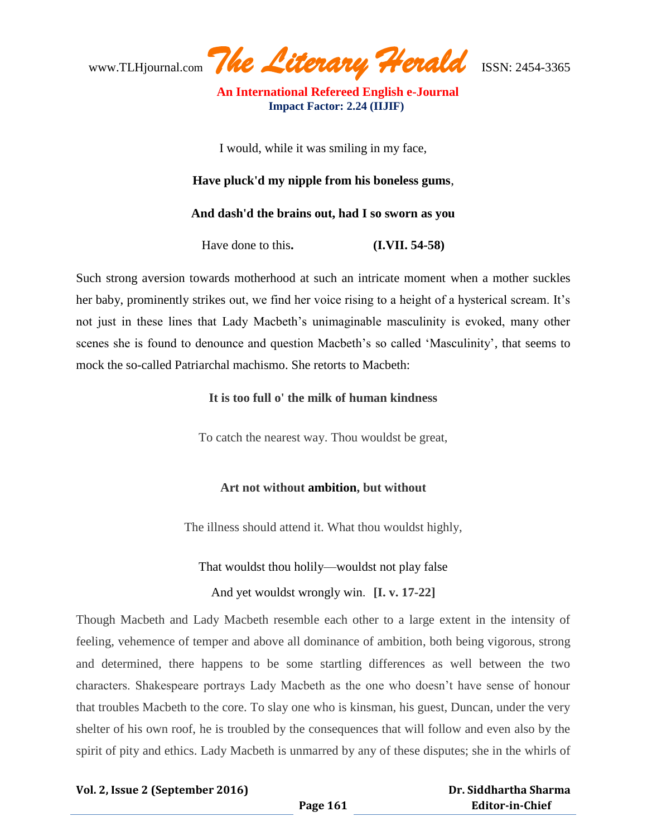www.TLHjournal.com *The Literary Herald*ISSN: 2454-3365

I would, while it was smiling in my face,

### **Have pluck'd my nipple from his boneless gums**,

#### **And dash'd the brains out, had I so sworn as you**

Have done to this**. (I.VII. 54-58)**

Such strong aversion towards motherhood at such an intricate moment when a mother suckles her baby, prominently strikes out, we find her voice rising to a height of a hysterical scream. It's not just in these lines that Lady Macbeth"s unimaginable masculinity is evoked, many other scenes she is found to denounce and question Macbeth's so called 'Masculinity', that seems to mock the so-called Patriarchal machismo. She retorts to Macbeth:

**It is too full o' the milk of human kindness**

To catch the nearest way. Thou wouldst be great,

# **Art not without ambition, but without**

The illness should attend it. What thou wouldst highly,

#### That wouldst thou holily—wouldst not play false

# And yet wouldst wrongly win. **[I. v. 17-22]**

Though Macbeth and Lady Macbeth resemble each other to a large extent in the intensity of feeling, vehemence of temper and above all dominance of ambition, both being vigorous, strong and determined, there happens to be some startling differences as well between the two characters. Shakespeare portrays Lady Macbeth as the one who doesn"t have sense of honour that troubles Macbeth to the core. To slay one who is kinsman, his guest, Duncan, under the very shelter of his own roof, he is troubled by the consequences that will follow and even also by the spirit of pity and ethics. Lady Macbeth is unmarred by any of these disputes; she in the whirls of

#### **Vol. 2, Issue 2 (September 2016)**

 **Dr. Siddhartha Sharma Editor-in-Chief**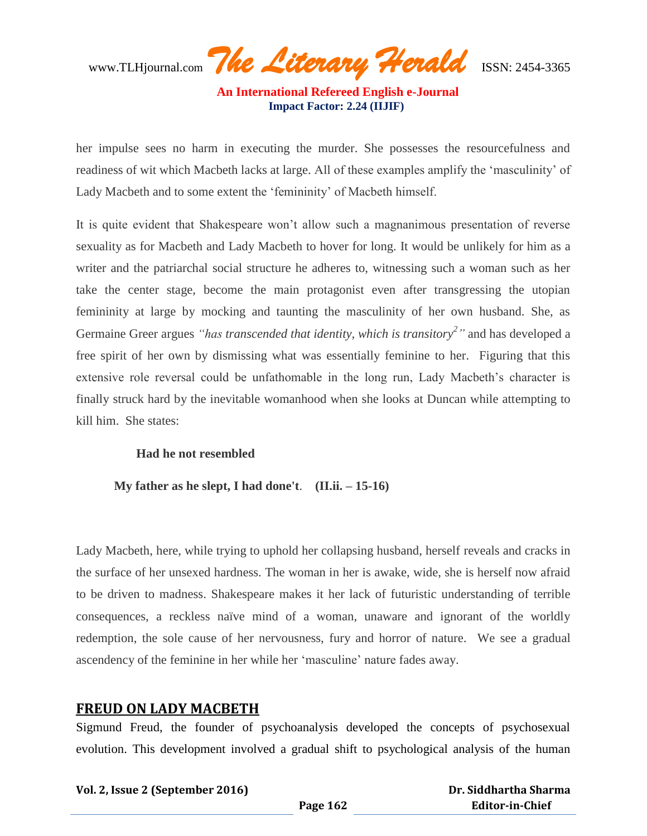www.TLHjournal.com *The Literary Herald*ISSN: 2454-3365

her impulse sees no harm in executing the murder. She possesses the resourcefulness and readiness of wit which Macbeth lacks at large. All of these examples amplify the "masculinity" of Lady Macbeth and to some extent the "femininity" of Macbeth himself.

It is quite evident that Shakespeare won"t allow such a magnanimous presentation of reverse sexuality as for Macbeth and Lady Macbeth to hover for long. It would be unlikely for him as a writer and the patriarchal social structure he adheres to, witnessing such a woman such as her take the center stage, become the main protagonist even after transgressing the utopian femininity at large by mocking and taunting the masculinity of her own husband. She, as Germaine Greer argues *"has transcended that identity, which is transitory<sup>2</sup> "* and has developed a free spirit of her own by dismissing what was essentially feminine to her. Figuring that this extensive role reversal could be unfathomable in the long run, Lady Macbeth"s character is finally struck hard by the inevitable womanhood when she looks at Duncan while attempting to kill him. She states:

# **Had he not resembled**

 **My father as he slept, I had done't**. **(II.ii. – 15-16)**

Lady Macbeth, here, while trying to uphold her collapsing husband, herself reveals and cracks in the surface of her unsexed hardness. The woman in her is awake, wide, she is herself now afraid to be driven to madness. Shakespeare makes it her lack of futuristic understanding of terrible consequences, a reckless naïve mind of a woman, unaware and ignorant of the worldly redemption, the sole cause of her nervousness, fury and horror of nature. We see a gradual ascendency of the feminine in her while her "masculine" nature fades away.

# **FREUD ON LADY MACBETH**

Sigmund Freud, the founder of psychoanalysis developed the concepts of psychosexual evolution. This development involved a gradual shift to psychological analysis of the human

#### **Vol. 2, Issue 2 (September 2016)**

 **Dr. Siddhartha Sharma Editor-in-Chief**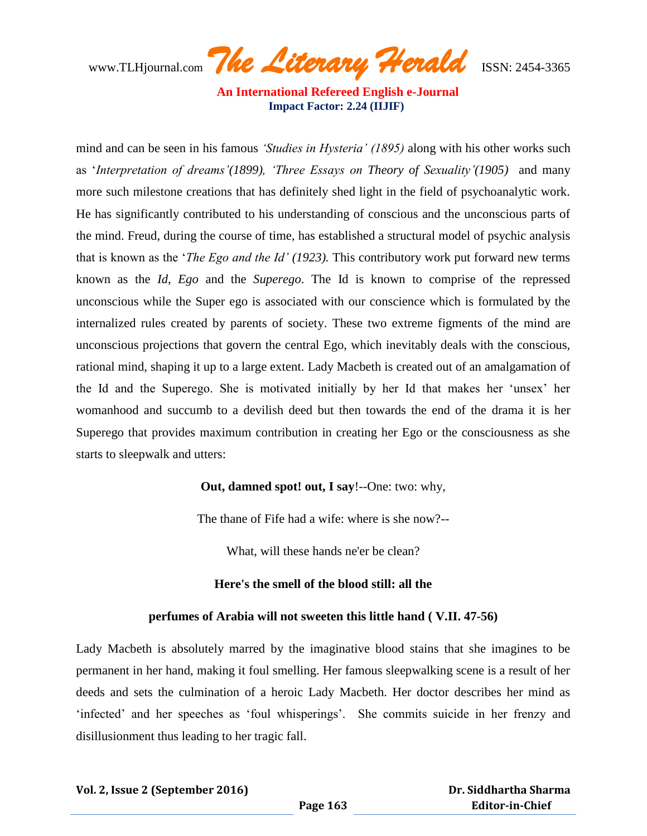www.TLHjournal.com *The Literary Herald*ISSN: 2454-3365

mind and can be seen in his famous *"Studies in Hysteria" (1895)* along with his other works such as "*Interpretation of dreams"(1899), "Three Essays on Theory of Sexuality"(1905)* and many more such milestone creations that has definitely shed light in the field of psychoanalytic work. He has significantly contributed to his understanding of conscious and the unconscious parts of the mind. Freud, during the course of time, has established a structural model of psychic analysis that is known as the "*The Ego and the Id" (1923).* This contributory work put forward new terms known as the *Id*, *Ego* and the *Superego*. The Id is known to comprise of the repressed unconscious while the Super ego is associated with our conscience which is formulated by the internalized rules created by parents of society. These two extreme figments of the mind are unconscious projections that govern the central Ego, which inevitably deals with the conscious, rational mind, shaping it up to a large extent. Lady Macbeth is created out of an amalgamation of the Id and the Superego. She is motivated initially by her Id that makes her "unsex" her womanhood and succumb to a devilish deed but then towards the end of the drama it is her Superego that provides maximum contribution in creating her Ego or the consciousness as she starts to sleepwalk and utters:

# **Out, damned spot! out, I say**!--One: two: why,

The thane of Fife had a wife: where is she now?--

What, will these hands ne'er be clean?

# **Here's the smell of the blood still: all the**

#### **perfumes of Arabia will not sweeten this little hand ( V.II. 47-56)**

Lady Macbeth is absolutely marred by the imaginative blood stains that she imagines to be permanent in her hand, making it foul smelling. Her famous sleepwalking scene is a result of her deeds and sets the culmination of a heroic Lady Macbeth. Her doctor describes her mind as 'infected' and her speeches as 'foul whisperings'. She commits suicide in her frenzy and disillusionment thus leading to her tragic fall.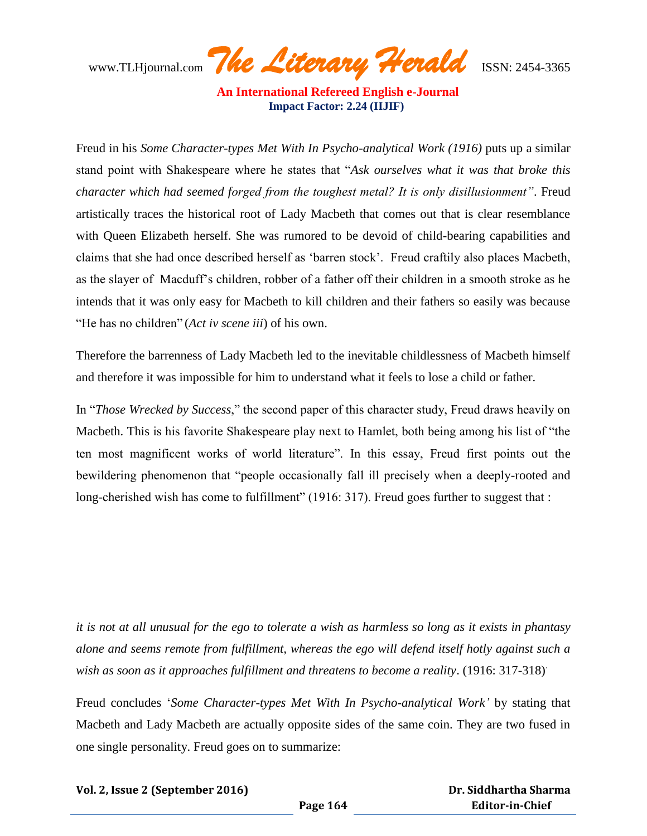www.TLHjournal.com *The Literary Herald*ISSN: 2454-3365

Freud in his *Some Character-types Met With In Psycho-analytical Work (1916)* puts up a similar stand point with Shakespeare where he states that "*Ask ourselves what it was that broke this character which had seemed forged from the toughest metal? It is only disillusionment"*. Freud artistically traces the historical root of Lady Macbeth that comes out that is clear resemblance with Queen Elizabeth herself. She was rumored to be devoid of child-bearing capabilities and claims that she had once described herself as "barren stock". Freud craftily also places Macbeth, as the slayer of Macduff"s children, robber of a father off their children in a smooth stroke as he intends that it was only easy for Macbeth to kill children and their fathers so easily was because "He has no children" (*Act iv scene iii*) of his own.

Therefore the barrenness of Lady Macbeth led to the inevitable childlessness of Macbeth himself and therefore it was impossible for him to understand what it feels to lose a child or father.

In "*Those Wrecked by Success*," the second paper of this character study, Freud draws heavily on Macbeth. This is his favorite Shakespeare play next to Hamlet, both being among his list of "the ten most magnificent works of world literature". In this essay, Freud first points out the bewildering phenomenon that "people occasionally fall ill precisely when a deeply-rooted and long-cherished wish has come to fulfillment" (1916: 317). Freud goes further to suggest that :

*it is not at all unusual for the ego to tolerate a wish as harmless so long as it exists in phantasy alone and seems remote from fulfillment, whereas the ego will defend itself hotly against such a wish as soon as it approaches fulfillment and threatens to become a reality.* (1916: 317-318)<sup>.</sup>

Freud concludes "*Some Character-types Met With In Psycho-analytical Work"* by stating that Macbeth and Lady Macbeth are actually opposite sides of the same coin. They are two fused in one single personality. Freud goes on to summarize: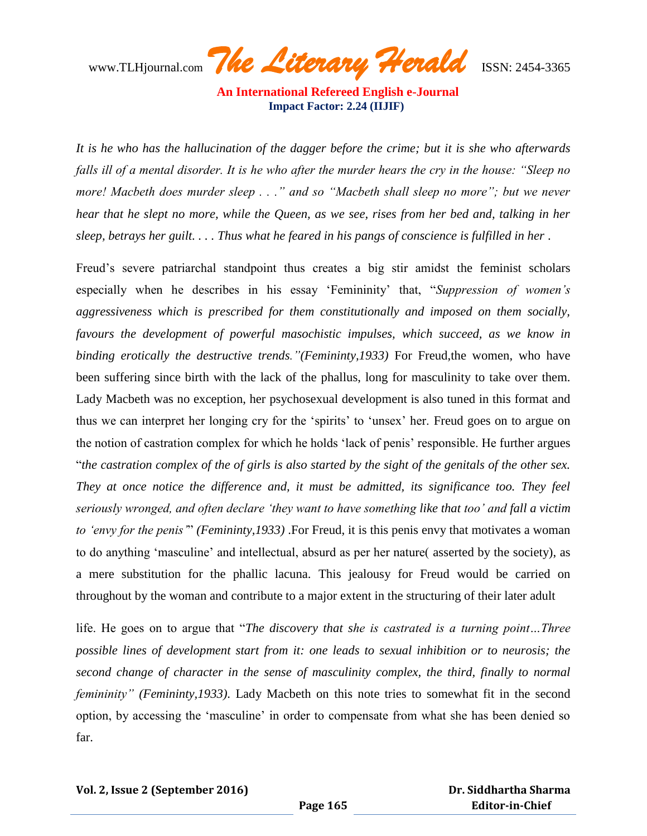www.TLHjournal.com *The Literary Herald*ISSN: 2454-3365

*It is he who has the hallucination of the dagger before the crime; but it is she who afterwards falls ill of a mental disorder. It is he who after the murder hears the cry in the house: "Sleep no more! Macbeth does murder sleep . . ." and so "Macbeth shall sleep no more"; but we never hear that he slept no more, while the Queen, as we see, rises from her bed and, talking in her sleep, betrays her guilt. . . . Thus what he feared in his pangs of conscience is fulfilled in her* .

Freud"s severe patriarchal standpoint thus creates a big stir amidst the feminist scholars especially when he describes in his essay "Femininity" that, "*Suppression of women"s aggressiveness which is prescribed for them constitutionally and imposed on them socially, favours the development of powerful masochistic impulses, which succeed, as we know in binding erotically the destructive trends."(Femininty,1933)* For Freud,the women, who have been suffering since birth with the lack of the phallus, long for masculinity to take over them. Lady Macbeth was no exception, her psychosexual development is also tuned in this format and thus we can interpret her longing cry for the "spirits" to "unsex" her. Freud goes on to argue on the notion of castration complex for which he holds "lack of penis" responsible. He further argues "*the castration complex of the of girls is also started by the sight of the genitals of the other sex. They at once notice the difference and, it must be admitted, its significance too. They feel seriously wronged, and often declare "they want to have something like that too" and fall a victim to "envy for the penis"*" *(Femininty,1933)* .For Freud, it is this penis envy that motivates a woman to do anything "masculine" and intellectual, absurd as per her nature( asserted by the society), as a mere substitution for the phallic lacuna. This jealousy for Freud would be carried on throughout by the woman and contribute to a major extent in the structuring of their later adult

life. He goes on to argue that "*The discovery that she is castrated is a turning point…Three possible lines of development start from it: one leads to sexual inhibition or to neurosis; the second change of character in the sense of masculinity complex, the third, finally to normal femininity" (Femininty,1933)*. Lady Macbeth on this note tries to somewhat fit in the second option, by accessing the "masculine" in order to compensate from what she has been denied so far.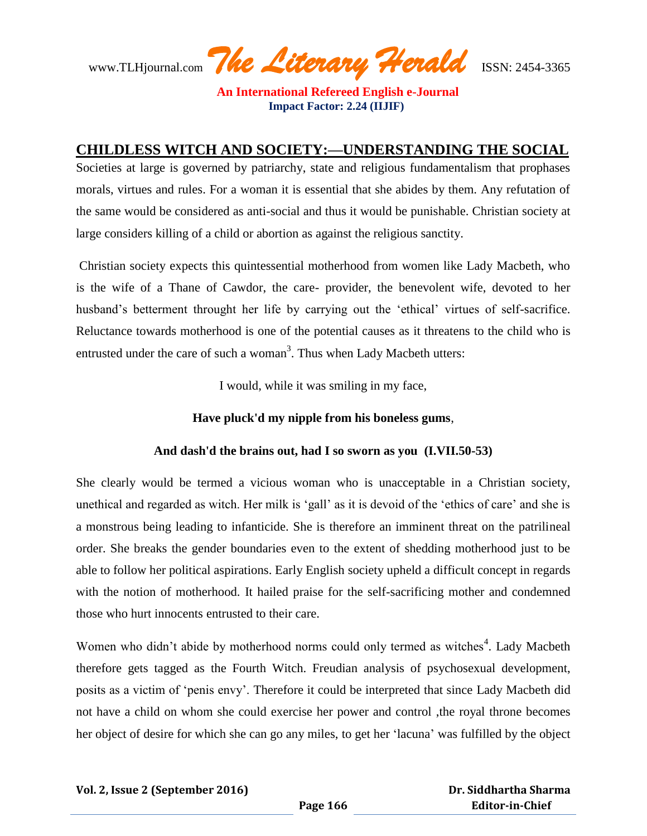www.TLHjournal.com *The Literary Herald*ISSN: 2454-3365

# **CHILDLESS WITCH AND SOCIETY:—UNDERSTANDING THE SOCIAL**

Societies at large is governed by patriarchy, state and religious fundamentalism that prophases morals, virtues and rules. For a woman it is essential that she abides by them. Any refutation of the same would be considered as anti-social and thus it would be punishable. Christian society at large considers killing of a child or abortion as against the religious sanctity.

Christian society expects this quintessential motherhood from women like Lady Macbeth, who is the wife of a Thane of Cawdor, the care- provider, the benevolent wife, devoted to her husband's betterment throught her life by carrying out the 'ethical' virtues of self-sacrifice. Reluctance towards motherhood is one of the potential causes as it threatens to the child who is entrusted under the care of such a woman<sup>3</sup>. Thus when Lady Macbeth utters:

I would, while it was smiling in my face,

# **Have pluck'd my nipple from his boneless gums**,

# **And dash'd the brains out, had I so sworn as you (I.VII.50-53)**

She clearly would be termed a vicious woman who is unacceptable in a Christian society, unethical and regarded as witch. Her milk is 'gall' as it is devoid of the 'ethics of care' and she is a monstrous being leading to infanticide. She is therefore an imminent threat on the patrilineal order. She breaks the gender boundaries even to the extent of shedding motherhood just to be able to follow her political aspirations. Early English society upheld a difficult concept in regards with the notion of motherhood. It hailed praise for the self-sacrificing mother and condemned those who hurt innocents entrusted to their care.

Women who didn't abide by motherhood norms could only termed as witches<sup>4</sup>. Lady Macbeth therefore gets tagged as the Fourth Witch. Freudian analysis of psychosexual development, posits as a victim of "penis envy". Therefore it could be interpreted that since Lady Macbeth did not have a child on whom she could exercise her power and control ,the royal throne becomes her object of desire for which she can go any miles, to get her "lacuna" was fulfilled by the object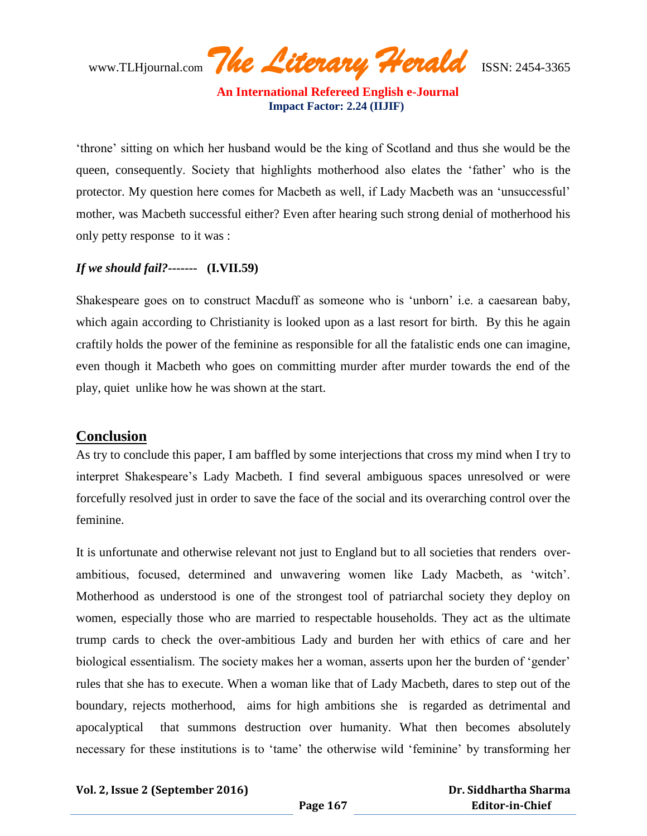www.TLHjournal.com *The Literary Herald*ISSN: 2454-3365

"throne" sitting on which her husband would be the king of Scotland and thus she would be the queen, consequently. Society that highlights motherhood also elates the "father" who is the protector. My question here comes for Macbeth as well, if Lady Macbeth was an "unsuccessful" mother, was Macbeth successful either? Even after hearing such strong denial of motherhood his only petty response to it was :

# *If we should fail?-------* **(I.VII.59)**

Shakespeare goes on to construct Macduff as someone who is "unborn" i.e. a caesarean baby, which again according to Christianity is looked upon as a last resort for birth. By this he again craftily holds the power of the feminine as responsible for all the fatalistic ends one can imagine, even though it Macbeth who goes on committing murder after murder towards the end of the play, quiet unlike how he was shown at the start.

# **Conclusion**

As try to conclude this paper, I am baffled by some interjections that cross my mind when I try to interpret Shakespeare"s Lady Macbeth. I find several ambiguous spaces unresolved or were forcefully resolved just in order to save the face of the social and its overarching control over the feminine.

It is unfortunate and otherwise relevant not just to England but to all societies that renders overambitious, focused, determined and unwavering women like Lady Macbeth, as "witch". Motherhood as understood is one of the strongest tool of patriarchal society they deploy on women, especially those who are married to respectable households. They act as the ultimate trump cards to check the over-ambitious Lady and burden her with ethics of care and her biological essentialism. The society makes her a woman, asserts upon her the burden of 'gender' rules that she has to execute. When a woman like that of Lady Macbeth, dares to step out of the boundary, rejects motherhood, aims for high ambitions she is regarded as detrimental and apocalyptical that summons destruction over humanity. What then becomes absolutely necessary for these institutions is to "tame" the otherwise wild "feminine" by transforming her

#### **Vol. 2, Issue 2 (September 2016)**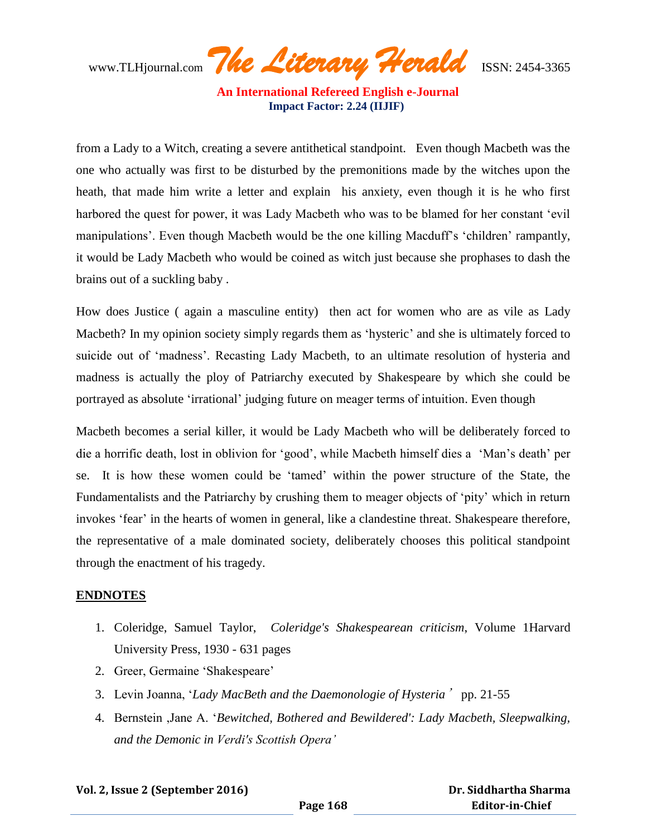www.TLHjournal.com *The Literary Herald*ISSN: 2454-3365

from a Lady to a Witch, creating a severe antithetical standpoint. Even though Macbeth was the one who actually was first to be disturbed by the premonitions made by the witches upon the heath, that made him write a letter and explain his anxiety, even though it is he who first harbored the quest for power, it was Lady Macbeth who was to be blamed for her constant "evil manipulations'. Even though Macbeth would be the one killing Macduff's 'children' rampantly, it would be Lady Macbeth who would be coined as witch just because she prophases to dash the brains out of a suckling baby .

How does Justice ( again a masculine entity) then act for women who are as vile as Lady Macbeth? In my opinion society simply regards them as 'hysteric' and she is ultimately forced to suicide out of 'madness'. Recasting Lady Macbeth, to an ultimate resolution of hysteria and madness is actually the ploy of Patriarchy executed by Shakespeare by which she could be portrayed as absolute "irrational" judging future on meager terms of intuition. Even though

Macbeth becomes a serial killer, it would be Lady Macbeth who will be deliberately forced to die a horrific death, lost in oblivion for "good", while Macbeth himself dies a "Man"s death" per se. It is how these women could be "tamed" within the power structure of the State, the Fundamentalists and the Patriarchy by crushing them to meager objects of "pity" which in return invokes 'fear' in the hearts of women in general, like a clandestine threat. Shakespeare therefore, the representative of a male dominated society, deliberately chooses this political standpoint through the enactment of his tragedy.

#### **ENDNOTES**

- 1. Coleridge, Samuel Taylor, *Coleridge's Shakespearean criticism*, Volume 1Harvard University Press, 1930 - 631 pages
- 2. Greer, Germaine "Shakespeare"
- 3. Levin Joanna, "*Lady MacBeth and the Daemonologie of Hysteria*' pp. 21-55
- 4. Bernstein ,Jane A. "*Bewitched, Bothered and Bewildered': Lady Macbeth, Sleepwalking, and the Demonic in Verdi's Scottish Opera"*

**Vol. 2, Issue 2 (September 2016)**